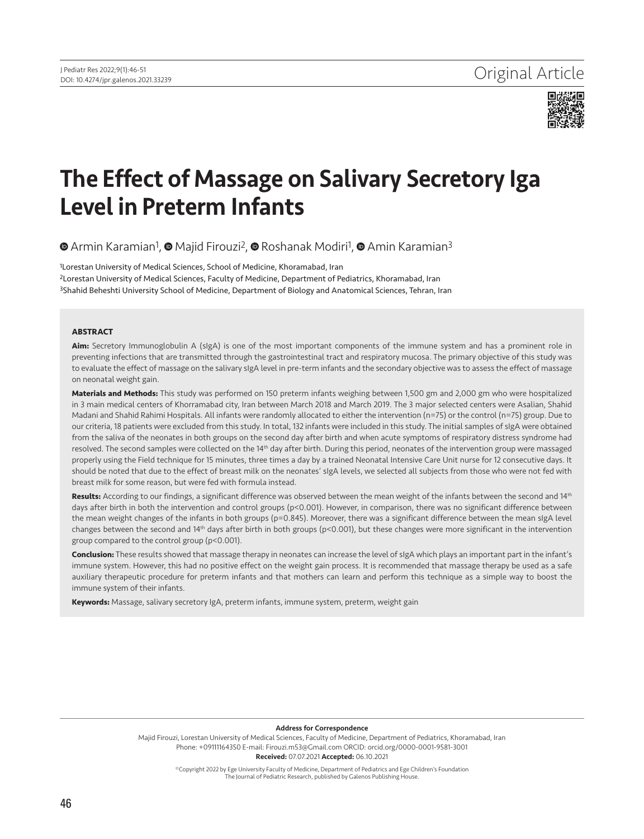

# The Effect of Massage on Salivary Secretory Iga Level in Preterm Infants

 $\bullet$  [A](https://orcid.org/0000-0002-1558-4817)rmin Karamian<sup>1</sup>[,](https://orcid.org/0000-0001-9581-3001)  $\bullet$ Majid Firouzi<sup>2</sup>,  $\bullet$  Roshanak Modiri<sup>1</sup>,  $\bullet$  Amin Karamian<sup>3</sup>

<sup>1</sup>Lorestan University of Medical Sciences, School of Medicine, Khoramabad, Iran 2Lorestan University of Medical Sciences, Faculty of Medicine, Department of Pediatrics, Khoramabad, Iran 3Shahid Beheshti University School of Medicine, Department of Biology and Anatomical Sciences, Tehran, Iran

#### **ABSTRACT**

**Aim:** Secretory Immunoglobulin A (sIgA) is one of the most important components of the immune system and has a prominent role in preventing infections that are transmitted through the gastrointestinal tract and respiratory mucosa. The primary objective of this study was to evaluate the effect of massage on the salivary sIgA level in pre-term infants and the secondary objective was to assess the effect of massage on neonatal weight gain.

**Materials and Methods:** This study was performed on 150 preterm infants weighing between 1,500 gm and 2,000 gm who were hospitalized in 3 main medical centers of Khorramabad city, Iran between March 2018 and March 2019. The 3 major selected centers were Asalian, Shahid Madani and Shahid Rahimi Hospitals. All infants were randomly allocated to either the intervention (n=75) or the control (n=75) group. Due to our criteria, 18 patients were excluded from this study. In total, 132 infants were included in this study. The initial samples of sIgA were obtained from the saliva of the neonates in both groups on the second day after birth and when acute symptoms of respiratory distress syndrome had resolved. The second samples were collected on the 14<sup>th</sup> day after birth. During this period, neonates of the intervention group were massaged properly using the Field technique for 15 minutes, three times a day by a trained Neonatal Intensive Care Unit nurse for 12 consecutive days. It should be noted that due to the effect of breast milk on the neonates' sIgA levels, we selected all subjects from those who were not fed with breast milk for some reason, but were fed with formula instead.

Results: According to our findings, a significant difference was observed between the mean weight of the infants between the second and 14<sup>th</sup> days after birth in both the intervention and control groups (p<0.001). However, in comparison, there was no significant difference between the mean weight changes of the infants in both groups (p=0.845). Moreover, there was a significant difference between the mean sIgA level changes between the second and 14th days after birth in both groups (p<0.001), but these changes were more significant in the intervention group compared to the control group (p<0.001).

**Conclusion:** These results showed that massage therapy in neonates can increase the level of sIgA which plays an important part in the infant's immune system. However, this had no positive effect on the weight gain process. It is recommended that massage therapy be used as a safe auxiliary therapeutic procedure for preterm infants and that mothers can learn and perform this technique as a simple way to boost the immune system of their infants.

**Keywords:** Massage, salivary secretory IgA, preterm infants, immune system, preterm, weight gain

#### Address for Correspondence

Majid Firouzi, Lorestan University of Medical Sciences, Faculty of Medicine, Department of Pediatrics, Khoramabad, Iran Phone: +09111164350 E-mail: Firouzi.m53@Gmail.com ORCID: orcid.org/0000-0001-9581-3001 Received: 07.07.2021 Accepted: 06.10.2021

> ©Copyright 2022 by Ege University Faculty of Medicine, Department of Pediatrics and Ege Children's Foundation The Journal of Pediatric Research, published by Galenos Publishing House.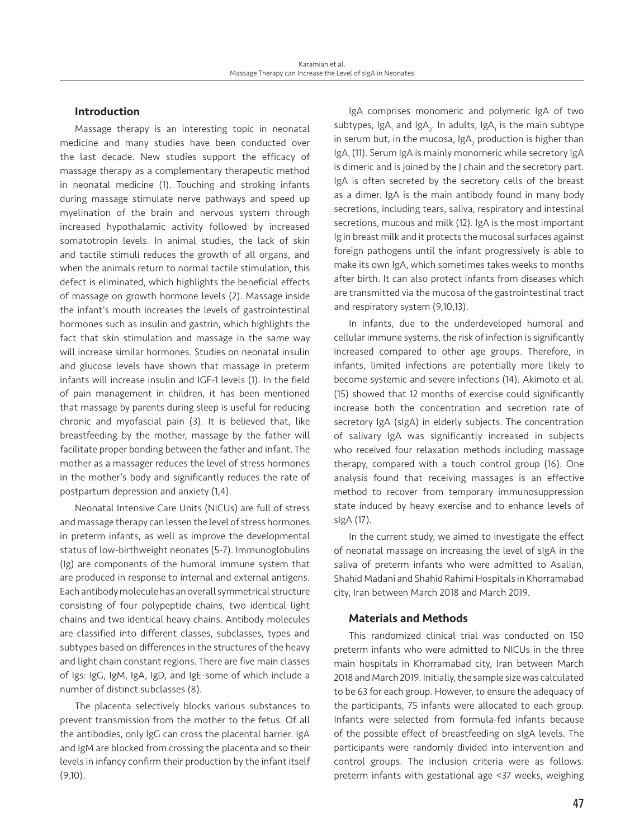# Introduction

Massage therapy is an interesting topic in neonatal medicine and many studies have been conducted over the last decade. New studies support the efficacy of massage therapy as a complementary therapeutic method in neonatal medicine (1). Touching and stroking infants during massage stimulate nerve pathways and speed up myelination of the brain and nervous system through increased hypothalamic activity followed by increased somatotropin levels. In animal studies, the lack of skin and tactile stimuli reduces the growth of all organs, and when the animals return to normal tactile stimulation, this defect is eliminated, which highlights the beneficial effects of massage on growth hormone levels (2). Massage inside the infant's mouth increases the levels of gastrointestinal hormones such as insulin and gastrin, which highlights the fact that skin stimulation and massage in the same way will increase similar hormones. Studies on neonatal insulin and glucose levels have shown that massage in preterm infants will increase insulin and IGF-1 levels (1). In the field of pain management in children, it has been mentioned that massage by parents during sleep is useful for reducing chronic and myofascial pain (3). It is believed that, like breastfeeding by the mother, massage by the father will facilitate proper bonding between the father and infant. The mother as a massager reduces the level of stress hormones in the mother's body and significantly reduces the rate of postpartum depression and anxiety (1,4).

Neonatal Intensive Care Units (NICUs) are full of stress and massage therapy can lessen the level of stress hormones in preterm infants, as well as improve the developmental status of low-birthweight neonates (5-7). Immunoglobulins (Ig) are components of the humoral immune system that are produced in response to internal and external antigens. Each antibody molecule has an overall symmetrical structure consisting of four polypeptide chains, two identical light chains and two identical heavy chains. Antibody molecules are classified into different classes, subclasses, types and subtypes based on differences in the structures of the heavy and light chain constant regions. There are five main classes of Igs: IgG, IgM, IgA, IgD, and IgE-some of which include a number of distinct subclasses (8).

The placenta selectively blocks various substances to prevent transmission from the mother to the fetus. Of all the antibodies, only IgG can cross the placental barrier. IgA and IgM are blocked from crossing the placenta and so their levels in infancy confirm their production by the infant itself (9,10).

IgA comprises monomeric and polymeric IgA of two subtypes, IgA<sub>1</sub> and IgA<sub>2</sub>. In adults, IgA<sub>1</sub> is the main subtype in serum but, in the mucosa, Ig $\mathsf{A}_2$  production is higher than IgA<sub>1</sub> (11). Serum IgA is mainly monomeric while secretory IgA is dimeric and is joined by the J chain and the secretory part. IgA is often secreted by the secretory cells of the breast as a dimer. IgA is the main antibody found in many body secretions, including tears, saliva, respiratory and intestinal secretions, mucous and milk (12). IgA is the most important Ig in breast milk and it protects the mucosal surfaces against foreign pathogens until the infant progressively is able to make its own IgA, which sometimes takes weeks to months after birth. It can also protect infants from diseases which are transmitted via the mucosa of the gastrointestinal tract and respiratory system (9,10,13).

In infants, due to the underdeveloped humoral and cellular immune systems, the risk of infection is significantly increased compared to other age groups. Therefore, in infants, limited infections are potentially more likely to become systemic and severe infections (14). Akimoto et al. (15) showed that 12 months of exercise could significantly increase both the concentration and secretion rate of secretory IgA (sIgA) in elderly subjects. The concentration of salivary IgA was significantly increased in subjects who received four relaxation methods including massage therapy, compared with a touch control group (16). One analysis found that receiving massages is an effective method to recover from temporary immunosuppression state induced by heavy exercise and to enhance levels of sIgA (17).

In the current study, we aimed to investigate the effect of neonatal massage on increasing the level of sIgA in the saliva of preterm infants who were admitted to Asalian, Shahid Madani and Shahid Rahimi Hospitals in Khorramabad city, Iran between March 2018 and March 2019.

# Materials and Methods

This randomized clinical trial was conducted on 150 preterm infants who were admitted to NICUs in the three main hospitals in Khorramabad city, Iran between March 2018 and March 2019. Initially, the sample size was calculated to be 63 for each group. However, to ensure the adequacy of the participants, 75 infants were allocated to each group. Infants were selected from formula-fed infants because of the possible effect of breastfeeding on sIgA levels. The participants were randomly divided into intervention and control groups. The inclusion criteria were as follows: preterm infants with gestational age <37 weeks, weighing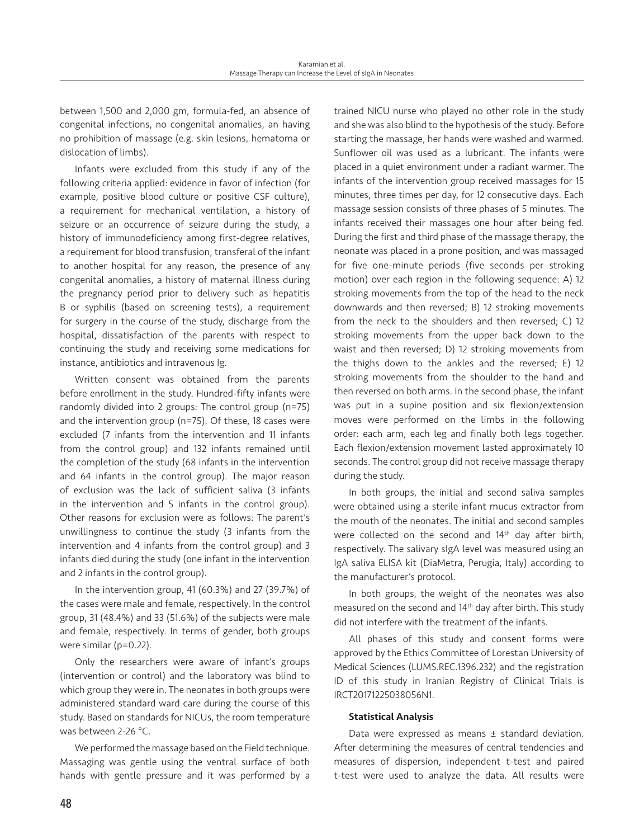between 1,500 and 2,000 gm, formula-fed, an absence of congenital infections, no congenital anomalies, an having no prohibition of massage (e.g. skin lesions, hematoma or dislocation of limbs).

Infants were excluded from this study if any of the following criteria applied: evidence in favor of infection (for example, positive blood culture or positive CSF culture), a requirement for mechanical ventilation, a history of seizure or an occurrence of seizure during the study, a history of immunodeficiency among first-degree relatives, a requirement for blood transfusion, transferal of the infant to another hospital for any reason, the presence of any congenital anomalies, a history of maternal illness during the pregnancy period prior to delivery such as hepatitis B or syphilis (based on screening tests), a requirement for surgery in the course of the study, discharge from the hospital, dissatisfaction of the parents with respect to continuing the study and receiving some medications for instance, antibiotics and intravenous Ig.

Written consent was obtained from the parents before enrollment in the study. Hundred-fifty infants were randomly divided into 2 groups: The control group (n=75) and the intervention group (n=75). Of these, 18 cases were excluded (7 infants from the intervention and 11 infants from the control group) and 132 infants remained until the completion of the study (68 infants in the intervention and 64 infants in the control group). The major reason of exclusion was the lack of sufficient saliva (3 infants in the intervention and 5 infants in the control group). Other reasons for exclusion were as follows: The parent's unwillingness to continue the study (3 infants from the intervention and 4 infants from the control group) and 3 infants died during the study (one infant in the intervention and 2 infants in the control group).

In the intervention group, 41 (60.3%) and 27 (39.7%) of the cases were male and female, respectively. In the control group, 31 (48.4%) and 33 (51.6%) of the subjects were male and female, respectively. In terms of gender, both groups were similar (p=0.22).

Only the researchers were aware of infant's groups (intervention or control) and the laboratory was blind to which group they were in. The neonates in both groups were administered standard ward care during the course of this study. Based on standards for NICUs, the room temperature was between 2-26 °C.

We performed the massage based on the Field technique. Massaging was gentle using the ventral surface of both hands with gentle pressure and it was performed by a trained NICU nurse who played no other role in the study and she was also blind to the hypothesis of the study. Before starting the massage, her hands were washed and warmed. Sunflower oil was used as a lubricant. The infants were placed in a quiet environment under a radiant warmer. The infants of the intervention group received massages for 15 minutes, three times per day, for 12 consecutive days. Each massage session consists of three phases of 5 minutes. The infants received their massages one hour after being fed. During the first and third phase of the massage therapy, the neonate was placed in a prone position, and was massaged for five one-minute periods (five seconds per stroking motion) over each region in the following sequence: A) 12 stroking movements from the top of the head to the neck downwards and then reversed; B) 12 stroking movements from the neck to the shoulders and then reversed; C) 12 stroking movements from the upper back down to the waist and then reversed; D) 12 stroking movements from the thighs down to the ankles and the reversed; E) 12 stroking movements from the shoulder to the hand and then reversed on both arms. In the second phase, the infant was put in a supine position and six flexion/extension moves were performed on the limbs in the following order: each arm, each leg and finally both legs together. Each flexion/extension movement lasted approximately 10 seconds. The control group did not receive massage therapy during the study.

In both groups, the initial and second saliva samples were obtained using a sterile infant mucus extractor from the mouth of the neonates. The initial and second samples were collected on the second and 14<sup>th</sup> day after birth, respectively. The salivary sIgA level was measured using an IgA saliva ELISA kit (DiaMetra, Perugia, Italy) according to the manufacturer's protocol.

In both groups, the weight of the neonates was also measured on the second and 14th day after birth. This study did not interfere with the treatment of the infants.

All phases of this study and consent forms were approved by the Ethics Committee of Lorestan University of Medical Sciences (LUMS.REC.1396.232) and the registration ID of this study in Iranian Registry of Clinical Trials is IRCT20171225038056N1.

#### Statistical Analysis

Data were expressed as means ± standard deviation. After determining the measures of central tendencies and measures of dispersion, independent t-test and paired t-test were used to analyze the data. All results were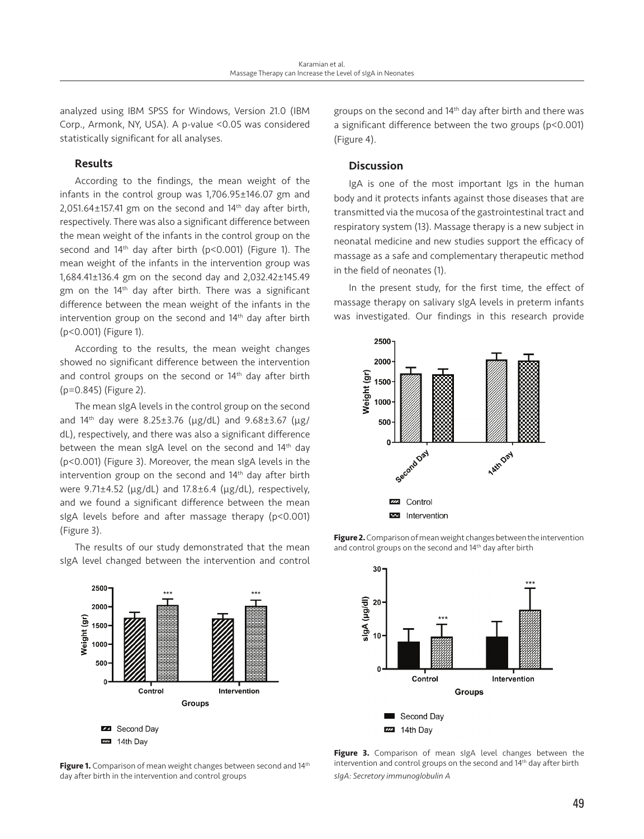analyzed using IBM SPSS for Windows, Version 21.0 (IBM Corp., Armonk, NY, USA). A p-value <0.05 was considered statistically significant for all analyses.

# Results

According to the findings, the mean weight of the infants in the control group was 1,706.95±146.07 gm and  $2,051.64\pm157.41$  gm on the second and  $14<sup>th</sup>$  day after birth, respectively. There was also a significant difference between the mean weight of the infants in the control group on the second and 14<sup>th</sup> day after birth (p<0.001) (Figure 1). The mean weight of the infants in the intervention group was 1,684.41±136.4 gm on the second day and 2,032.42±145.49 gm on the 14th day after birth. There was a significant difference between the mean weight of the infants in the intervention group on the second and 14th day after birth (p<0.001) (Figure 1).

According to the results, the mean weight changes showed no significant difference between the intervention and control groups on the second or 14<sup>th</sup> day after birth (p=0.845) (Figure 2).

The mean sIgA levels in the control group on the second and  $14^{th}$  day were 8.25±3.76 ( $\mu$ g/dL) and 9.68±3.67 ( $\mu$ g/ dL), respectively, and there was also a significant difference between the mean sIgA level on the second and 14<sup>th</sup> day (p<0.001) (Figure 3). Moreover, the mean sIgA levels in the intervention group on the second and 14<sup>th</sup> day after birth were 9.71±4.52 (µg/dL) and 17.8±6.4 (µg/dL), respectively, and we found a significant difference between the mean sIgA levels before and after massage therapy (p<0.001) (Figure 3).

The results of our study demonstrated that the mean sIgA level changed between the intervention and control



Figure 1. Comparison of mean weight changes between second and 14<sup>th</sup> day after birth in the intervention and control groups

groups on the second and 14th day after birth and there was a significant difference between the two groups (p<0.001) (Figure 4).

### Discussion

IgA is one of the most important Igs in the human body and it protects infants against those diseases that are transmitted via the mucosa of the gastrointestinal tract and respiratory system (13). Massage therapy is a new subject in neonatal medicine and new studies support the efficacy of massage as a safe and complementary therapeutic method in the field of neonates (1).

In the present study, for the first time, the effect of massage therapy on salivary sIgA levels in preterm infants was investigated. Our findings in this research provide



**Figure 2.** Comparison of mean weight changes between the intervention and control groups on the second and 14<sup>th</sup> day after birth



Figure 3. Comparison of mean sigA level changes between the intervention and control groups on the second and 14th day after birth *sIgA: Secretory immunoglobulin A*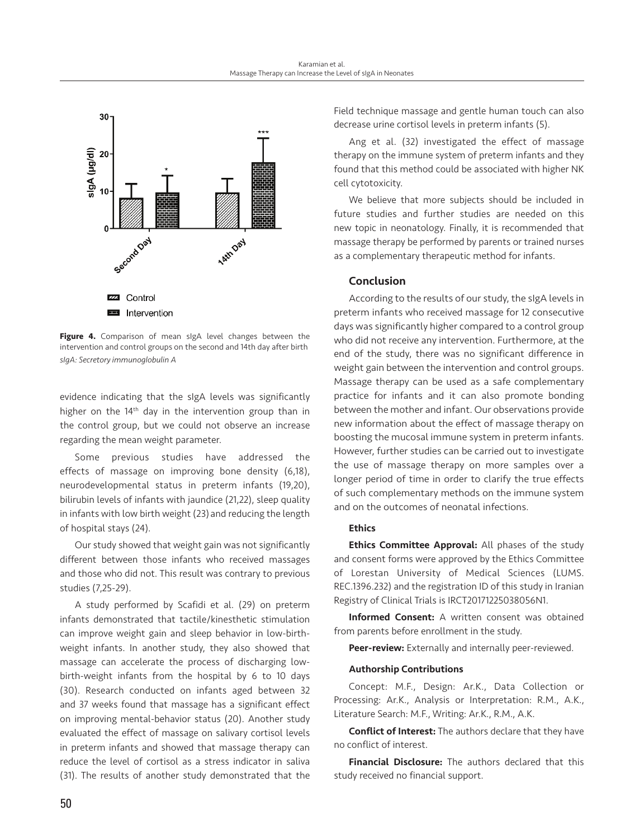

**Figure 4.** Comparison of mean sIgA level changes between the intervention and control groups on the second and 14th day after birth *sIgA: Secretory immunoglobulin A*

evidence indicating that the sIgA levels was significantly higher on the 14<sup>th</sup> day in the intervention group than in the control group, but we could not observe an increase regarding the mean weight parameter.

Some previous studies have addressed the effects of massage on improving bone density (6,18), neurodevelopmental status in preterm infants (19,20), bilirubin levels of infants with jaundice (21,22), sleep quality in infants with low birth weight (23) and reducing the length of hospital stays (24).

Our study showed that weight gain was not significantly different between those infants who received massages and those who did not. This result was contrary to previous studies (7,25-29).

A study performed by Scafidi et al. (29) on preterm infants demonstrated that tactile/kinesthetic stimulation can improve weight gain and sleep behavior in low-birthweight infants. In another study, they also showed that massage can accelerate the process of discharging lowbirth-weight infants from the hospital by 6 to 10 days (30). Research conducted on infants aged between 32 and 37 weeks found that massage has a significant effect on improving mental-behavior status (20). Another study evaluated the effect of massage on salivary cortisol levels in preterm infants and showed that massage therapy can reduce the level of cortisol as a stress indicator in saliva (31). The results of another study demonstrated that the Field technique massage and gentle human touch can also decrease urine cortisol levels in preterm infants (5).

Ang et al. (32) investigated the effect of massage therapy on the immune system of preterm infants and they found that this method could be associated with higher NK cell cytotoxicity.

We believe that more subjects should be included in future studies and further studies are needed on this new topic in neonatology. Finally, it is recommended that massage therapy be performed by parents or trained nurses as a complementary therapeutic method for infants.

# Conclusion

According to the results of our study, the sIgA levels in preterm infants who received massage for 12 consecutive days was significantly higher compared to a control group who did not receive any intervention. Furthermore, at the end of the study, there was no significant difference in weight gain between the intervention and control groups. Massage therapy can be used as a safe complementary practice for infants and it can also promote bonding between the mother and infant. Our observations provide new information about the effect of massage therapy on boosting the mucosal immune system in preterm infants. However, further studies can be carried out to investigate the use of massage therapy on more samples over a longer period of time in order to clarify the true effects of such complementary methods on the immune system and on the outcomes of neonatal infections.

#### **Ethics**

**Ethics Committee Approval:** All phases of the study and consent forms were approved by the Ethics Committee of Lorestan University of Medical Sciences (LUMS. REC.1396.232) and the registration ID of this study in Iranian Registry of Clinical Trials is IRCT20171225038056N1.

Informed Consent: A written consent was obtained from parents before enrollment in the study.

Peer-review: Externally and internally peer-reviewed.

#### Authorship Contributions

Concept: M.F., Design: Ar.K., Data Collection or Processing: Ar.K., Analysis or Interpretation: R.M., A.K., Literature Search: M.F., Writing: Ar.K., R.M., A.K.

Conflict of Interest: The authors declare that they have no conflict of interest.

Financial Disclosure: The authors declared that this study received no financial support.